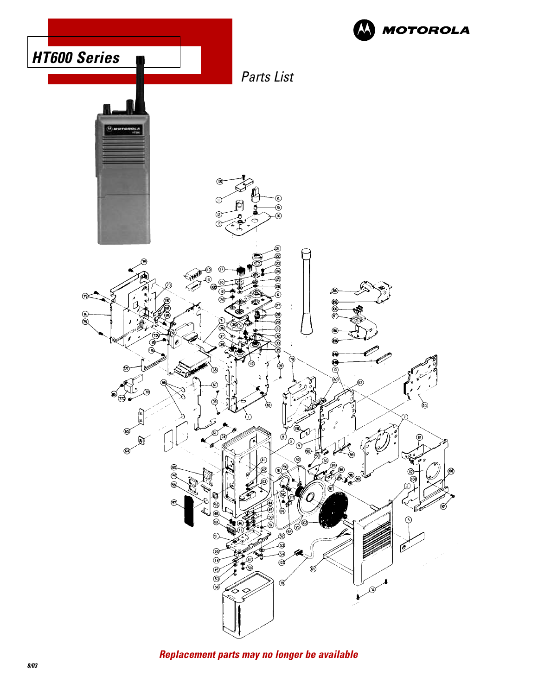

**Replacement parts may no longer be available**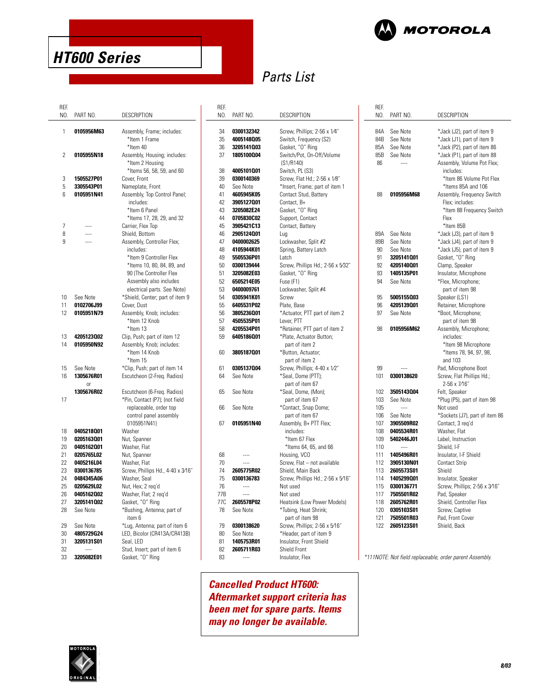

## **HT600 Series**

## Parts List

| REF. |               |                                   |
|------|---------------|-----------------------------------|
| NO.  | PART NO.      | DESCRIPTION                       |
|      |               |                                   |
| 1    | 0105956M63    | Assembly, Frame; includes:        |
|      |               | *Item 1 Frame                     |
|      |               | *Item 40                          |
|      |               |                                   |
| 2    | 0105955N18    | Assembly, Housing; includes:      |
|      |               | *Item 2 Housing                   |
|      |               | *Items 56, 58, 59, and 60         |
| 3    | 1505527P01    | Cover, Front                      |
| 5    | 3305543P01    | Nameplate, Front                  |
| 6    | 0105951N41    | Assembly, Top Control Panel;      |
|      |               | includes:                         |
|      |               | *Item 6 Panel                     |
|      |               | *Items 17, 28, 29, and 32         |
| 7    |               | Carrier, Flex Top                 |
| 8    |               | Shield, Bottom                    |
| 9    |               | Assembly, Controller Flex;        |
|      |               | includes:                         |
|      |               | *Item 9 Controller Flex           |
|      |               | *Items 10, 80, 84, 89, and        |
|      |               | 90 (The Controller Flex           |
|      |               |                                   |
|      |               | Assembly also includes            |
|      |               | electrical parts. See Note)       |
| 10   | See Note      | *Shield, Center; part of item 9   |
| 11   | 0102706J99    | Cover, Dust                       |
| 12   | 0105951N79    | Assembly, Knob; includes:         |
|      |               | *Item 12 Knob                     |
|      |               | *Item 13                          |
| 13   | 4205123002    | Clip, Push; part of item 12       |
| 14   | 0105950N92    | Assembly, Knob; includes:         |
|      |               | *Item 14 Knob                     |
|      |               | *Item 15                          |
| 15   | See Note      | *Clip, Push; part of item 14      |
| 16   | 1305676R01    | Escutcheon (2-Freq. Radios)       |
|      | <sub>Or</sub> |                                   |
|      | 1305676R02    | Escutcheon (6-Freq. Radios)       |
| 17   |               | *Pin, Contact (P7); (not field    |
|      |               | replaceable, order top            |
|      |               | control panel assembly            |
|      |               | 0105951N41)                       |
| 18   | 0405218001    | Washer                            |
| 19   | 0205163001    | Nut, Spanner                      |
| 20   | 0405162001    | Washer, Flat                      |
| 21   | 0205765L02    | Nut, Spanner                      |
| 22   | 0405216L04    | Washer, Flat                      |
|      | 0300136785    |                                   |
| 23   |               | Screw, Phillips Hd., 4-40 x 3/16" |
| 24   | 0484345A06    | Washer, Seal                      |
| 25   | 0205629L02    | Nut, Hex; 2 reg'd                 |
| 26   | 0405162002    | Washer, Flat; 2 req'd             |
| 27   | 3205141002    | Gasket, "O" Ring                  |
| 28   | See Note      | *Bushing, Antenna; part of        |
|      |               | item 6                            |
| 29   | See Note      | *Lug, Antenna; part of item 6     |
| 30   | 4805729G24    | LED, Bicolor (CR413A/CR413B)      |
| 31   | 3205131S01    | Seal, LED                         |
| 32   | ----          | Stud, Insert; part of item 6      |
| 33   | 3205082E01    | Gasket, "O" Ring                  |
|      |               |                                   |

| REF. |            |                                            |
|------|------------|--------------------------------------------|
| NO.  | PART NO.   | <b>DESCRIPTION</b>                         |
|      |            |                                            |
| 34   | 0300132342 | Screw, Phillips; 2-56 x 1/4"               |
| 35   | 4005148005 | Switch, Frequency (S2)                     |
| 36   | 3205141003 | Gasket, "O" Ring                           |
| 37   | 1805100004 | Switch/Pot, On-Off/Volume                  |
|      |            | (S1/R140)                                  |
| 38   | 4005101001 | Switch, PL (S3)                            |
| 39   | 0300140369 | Screw, Flat Hd.; 2-56 x 1/8"               |
| 40   | See Note   | *Insert, Frame; part of item 1             |
| 41   | 4605945K05 | Contact Stud, Battery                      |
| 42   | 3905127001 | Contact, B+                                |
| 43   | 3205082E24 | Gasket, "O" Ring                           |
| 44   | 0705830C02 | Support, Contact                           |
| 45   | 3905421C13 | Contact, Battery                           |
| 46   | 2905124001 | Lug                                        |
| 47   | 0400002625 | Lockwasher, Split #2                       |
| 48   | 4105944K01 | Spring, Battery Latch                      |
| 49   | 5505536P01 | Latch                                      |
| 50   | 0300139444 | Screw, Phillips Hd.; 2-56 x 5/32"          |
| 51   | 3205082E03 | Gasket, "O" Ring                           |
| 52   | 6505214E05 | Fuse (F1)                                  |
| 53   | 0400009761 | Lockwasher, Split #4                       |
| 54   | 0305941K01 | Screw                                      |
| 55   | 6405531P02 | Plate, Base                                |
| 56   | 3805236001 | *Actuator, PTT part of item 2              |
| 57   | 4505535P01 | Lever, PTT                                 |
| 58   | 4205534P01 | *Retainer, PTT part of item 2              |
| 59   | 6405186001 | *Plate, Actuator Button;<br>part of item 2 |
| 60   | 3805187001 | *Button, Actuator;                         |
|      |            | part of item 2                             |
| 61   | 0305137004 | Screw, Phillips; 4-40 x 1/2"               |
| 64   | See Note   | *Seal, Dome (PTT);                         |
|      |            | part of item 67                            |
| 65   | See Note   | *Seal, Dome, (Mon);                        |
|      |            | part of item 67                            |
| 66   | See Note   | *Contact, Snap Dome;                       |
|      |            | part of item 67                            |
| 67   | 0105951N40 | Assembly, B+ PTT Flex;                     |
|      |            | includes:                                  |
|      |            | *Item 67 Flex                              |
|      |            | *Items 64, 65, and 66                      |
| 68   | ----       | Housing, VCO                               |
| 70   | ----       | Screw, Flat - not available                |
| 74   | 2605775R02 | Shield, Main Back                          |
| 75   | 0300136783 | Screw, Phillips Hd.; 2-56 x 5/16"          |
| 76   | $\cdots$   | Not used                                   |
| 77B  | $\cdots$   | Not used                                   |
| 77C  | 2605578P02 | Heatsink (Low Power Models)                |
| 78   | See Note   | *Tubing, Heat Shrink;                      |
|      |            | part of item 98                            |
| 79   | 0300138620 | Screw, Phillips; 2-56 x 5/16"              |
| 80   | See Note   | *Header, part of item 9                    |
| 81   | 1405753R01 | Insulator, Front Shield                    |
| 82   | 2605711R03 | Shield Front                               |
| 83   |            | Insulator, Flex                            |

**Cancelled Product HT600: Aftermarket support criteria has been met for spare parts. Items may no longer be available.**

| REF.<br>NO.                                                                                                                | PART NO.                                                                                                                                                                                                                                       | DESCRIPTION                                                                                                                                                                                                                                                                                                                                                                                            |
|----------------------------------------------------------------------------------------------------------------------------|------------------------------------------------------------------------------------------------------------------------------------------------------------------------------------------------------------------------------------------------|--------------------------------------------------------------------------------------------------------------------------------------------------------------------------------------------------------------------------------------------------------------------------------------------------------------------------------------------------------------------------------------------------------|
| 84A<br>84B<br>85A<br>85B<br>86                                                                                             | See Note<br>See Note<br>See Note<br>See Note<br>$\overline{a}$                                                                                                                                                                                 | *Jack (J2), part of item 9<br>*Jack (J1), part of item 9<br>*Jack (P2), part of item 86<br>*Jack (P1), part of item 88<br>Assembly, Volume Pot Flex;<br>includes:<br>*Item 86 Volume Pot Flex<br>*Items 85A and 106                                                                                                                                                                                    |
| 88                                                                                                                         | 0105956M68                                                                                                                                                                                                                                     | Assembly, Frequency Switch<br>Flex; includes:<br>*Item 88 Frequency Switch<br>Flex<br>*Item 85B                                                                                                                                                                                                                                                                                                        |
| 89A<br>89B<br>90<br>91<br>92<br>93<br>94                                                                                   | See Note<br>See Note<br>See Note<br>3205141001<br>4205140001<br>1405135P01<br>See Note                                                                                                                                                         | *Jack (J3), part of item 9<br>*Jack (J4), part of item 9<br>*Jack (J5), part of item 9<br>Gasket, "O" Ring<br>Clamp, Speaker<br>Insulator, Microphone<br>*Flex, Microphone;<br>part of item 98                                                                                                                                                                                                         |
| 95<br>96<br>97                                                                                                             | 5005155003<br>4205139001<br>See Note                                                                                                                                                                                                           | Speaker (LS1)<br>Retainer, Microphone<br>*Boot, Microphone;<br>part of item 98                                                                                                                                                                                                                                                                                                                         |
| 98<br>99<br>101                                                                                                            | 0105956M62<br>0300138620                                                                                                                                                                                                                       | Assembly, Microphone;<br>includes:<br>*Item 98 Microphone<br>*Items 78, 94, 97, 98,<br>and 103<br>Pad, Microphone Boot<br>Screw, Flat Phillips Hd.;                                                                                                                                                                                                                                                    |
| 102<br>103<br>105<br>106<br>107<br>108<br>109<br>110<br>111<br>112<br>113<br>114<br>115<br>117<br>118<br>120<br>121<br>122 | 3505143004<br>See Note<br>$\overline{a}$<br>See Note<br>3905509R02<br>0405534R01<br>5402446J01<br><br>1405496R01<br>3905130N01<br>2605573S01<br>1405299001<br>0300136771<br>7505501R02<br>2605762R01<br>0305103S01<br>7505501R03<br>2605123S01 | 2-56 x 7/16"<br>Felt, Speaker<br>*Plug (P5), part of item 98<br>Not used<br>*Sockets (J7), part of item 86<br>Contact, 3 reg'd<br>Washer, Flat<br>Label, Instruction<br>Shield, I-F<br>Insulator, I-F Shield<br><b>Contact Strip</b><br>Shield<br>Insulator, Speaker<br>Screw, Phillips; 2-56 x 3/16"<br>Pad, Speaker<br>Shield, Controller Flex<br>Screw, Captive<br>Pad, Front Cover<br>Shield, Back |

\*111NOTE: Not field replaceable, order parent Assembly.

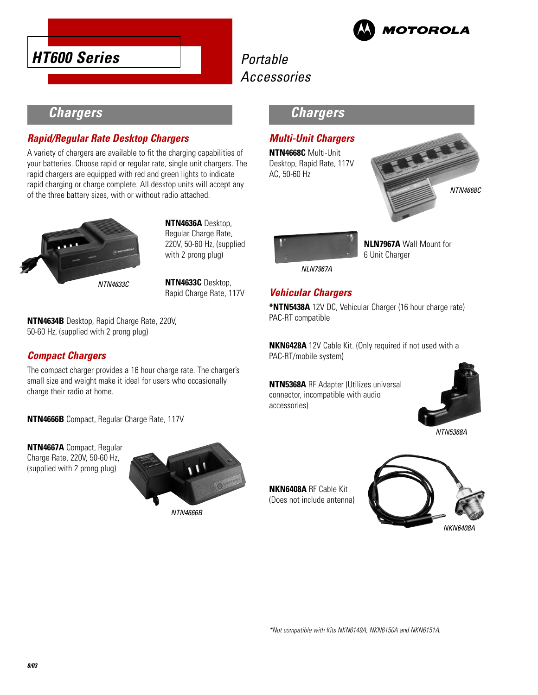



## **Chargers**

#### **Rapid/Regular Rate Desktop Chargers**

A variety of chargers are available to fit the charging capabilities of your batteries. Choose rapid or regular rate, single unit chargers. The rapid chargers are equipped with red and green lights to indicate rapid charging or charge complete. All desktop units will accept any of the three battery sizes, with or without radio attached.



**NTN4636A** Desktop, Regular Charge Rate, 220V, 50-60 Hz, (supplied with 2 prong plug)

**NTN4633C** Desktop, Rapid Charge Rate, 117V

#### **NTN4634B** Desktop, Rapid Charge Rate, 220V, 50-60 Hz, (supplied with 2 prong plug)

#### **Compact Chargers**

The compact charger provides a 16 hour charge rate. The charger's small size and weight make it ideal for users who occasionally charge their radio at home.

**NTN4666B** Compact, Regular Charge Rate, 117V

**NTN4667A** Compact, Regular Charge Rate, 220V, 50-60 Hz, (supplied with 2 prong plug)



#### **Chargers**

#### **Multi-Unit Chargers**

**NTN4668C** Multi-Unit Desktop, Rapid Rate, 117V AC, 50-60 Hz





**NLN7967A** Wall Mount for 6 Unit Charger

NLN7967A

#### **Vehicular Chargers**

**\*NTN5438A** 12V DC, Vehicular Charger (16 hour charge rate) PAC-RT compatible

**NKN6428A** 12V Cable Kit. (Only required if not used with a PAC-RT/mobile system)

**NTN5368A** RF Adapter (Utilizes universal connector, incompatible with audio accessories)



NTN5368A

**NKN6408A** RF Cable Kit (Does not include antenna)

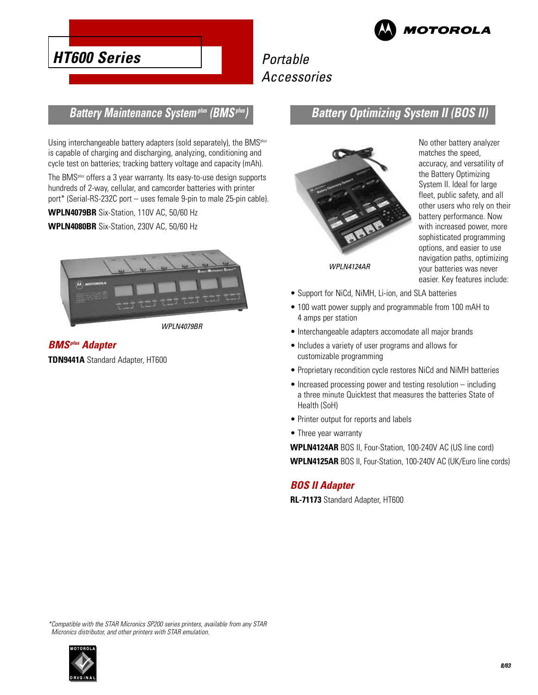

## **HT600 Series**

## Portable Accessories

#### **Battery Maintenance Systemplus (BMSplus)**

Using interchangeable battery adapters (sold separately), the BMS<sup>plus</sup> is capable of charging and discharging, analyzing, conditioning and cycle test on batteries; tracking battery voltage and capacity (mAh).

The BMSplus offers a 3 year warranty. Its easy-to-use design supports hundreds of 2-way, cellular, and camcorder batteries with printer port\* (Serial-RS-232C port – uses female 9-pin to male 25-pin cable).

**WPLN4079BR** Six-Station, 110V AC, 50/60 Hz

**WPLN4080BR** Six-Station, 230V AC, 50/60 Hz



WPLN4079BR

#### **BMSplus Adapter**

**TDN9441A** Standard Adapter, HT600

#### **Battery Optimizing System II (BOS II)**



No other battery analyzer matches the speed, accuracy, and versatility of the Battery Optimizing System II. Ideal for large fleet, public safety, and all other users who rely on their battery performance. Now with increased power, more sophisticated programming options, and easier to use navigation paths, optimizing your batteries was never easier. Key features include:

- Support for NiCd, NiMH, Li-ion, and SLA batteries
- 100 watt power supply and programmable from 100 mAH to 4 amps per station
- Interchangeable adapters accomodate all major brands
- Includes a variety of user programs and allows for customizable programming
- Proprietary recondition cycle restores NiCd and NiMH batteries
- Increased processing power and testing resolution including a three minute Quicktest that measures the batteries State of Health (SoH)
- Printer output for reports and labels
- Three year warranty

**WPLN4124AR** BOS II, Four-Station, 100-240V AC (US line cord) **WPLN4125AR** BOS II, Four-Station, 100-240V AC (UK/Euro line cords)

#### **BOS II Adapter**

**RL-71173** Standard Adapter, HT600

\*Compatible with the STAR Micronics SP200 series printers, available from any STAR Micronics distributor, and other printers with STAR emulation.

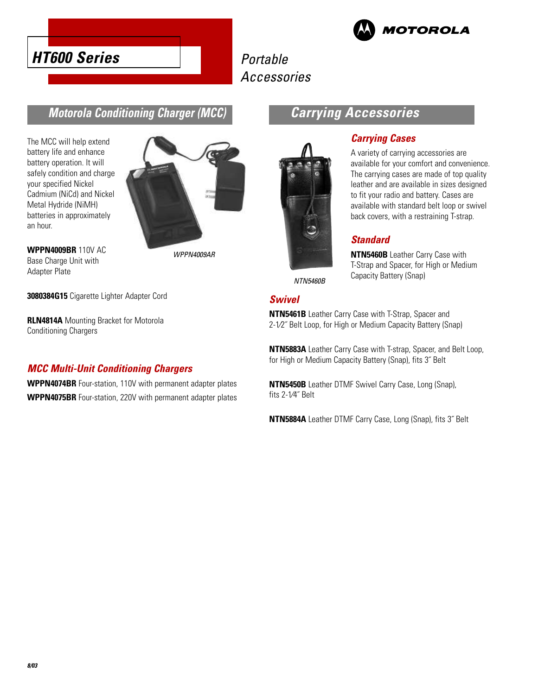



#### **Motorola Conditioning Charger (MCC)**

The MCC will help extend battery life and enhance battery operation. It will safely condition and charge your specified Nickel Cadmium (NiCd) and Nickel Metal Hydride (NiMH) batteries in approximately an hour.



**WPPN4009BR** 110V AC Base Charge Unit with Adapter Plate

Conditioning Chargers

WPPN4009AR

# **Carrying Accessories**



#### **Carrying Cases**

A variety of carrying accessories are available for your comfort and convenience. The carrying cases are made of top quality leather and are available in sizes designed to fit your radio and battery. Cases are available with standard belt loop or swivel back covers, with a restraining T-strap.

#### **Standard**

**NTN5460B** Leather Carry Case with T-Strap and Spacer, for High or Medium Capacity Battery (Snap)

NTN5460B

#### **Swivel**

**NTN5461B** Leather Carry Case with T-Strap, Spacer and 2-1⁄2˝ Belt Loop, for High or Medium Capacity Battery (Snap)

**NTN5883A** Leather Carry Case with T-strap, Spacer, and Belt Loop, for High or Medium Capacity Battery (Snap), fits 3˝ Belt

**NTN5450B** Leather DTMF Swivel Carry Case, Long (Snap), fits 2-1⁄4˝ Belt

**NTN5884A** Leather DTMF Carry Case, Long (Snap), fits 3˝ Belt

**3080384G15** Cigarette Lighter Adapter Cord

**RLN4814A** Mounting Bracket for Motorola

**MCC Multi-Unit Conditioning Chargers WPPN4074BR** Four-station, 110V with permanent adapter plates

**WPPN4075BR** Four-station, 220V with permanent adapter plates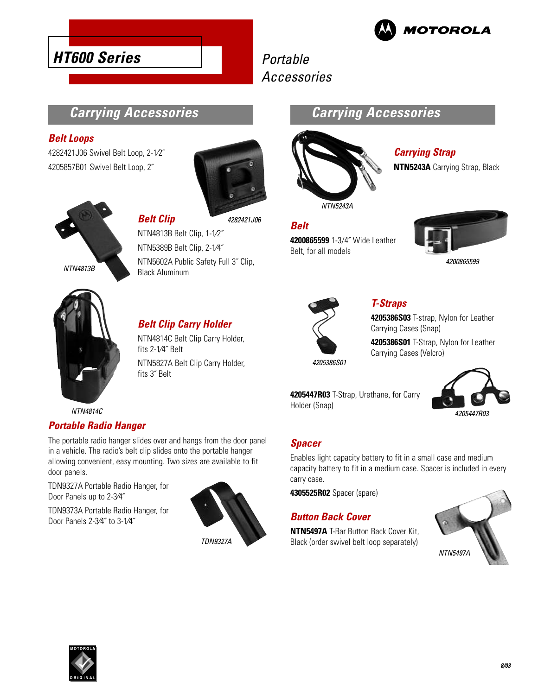

## **Carrying Accessories**

#### **Belt Loops**

4282421J06 Swivel Belt Loop, 2-1⁄2˝ 4205857B01 Swivel Belt Loop, 2˝

**HT600 Series**





**Belt Clip** NTN4813B Belt Clip, 1-1⁄2˝ 4282421J06

NTN5389B Belt Clip, 2-1⁄4˝ NTN5602A Public Safety Full 3˝ Clip, Black Aluminum



#### **Belt Clip Carry Holder**

NTN4814C Belt Clip Carry Holder, fits 2-1⁄4˝ Belt NTN5827A Belt Clip Carry Holder, fits 3˝ Belt

## **Carrying Accessories**



**Carrying Strap NTN5243A** Carrying Strap, Black

### **Belt**

**4200865599** 1-3/4˝ Wide Leather Belt, for all models







#### **T-Straps**

**4205386S03** T-strap, Nylon for Leather Carrying Cases (Snap)

**4205386S01** T-Strap, Nylon for Leather Carrying Cases (Velcro)



4205447R03

NTN4814C

#### **Portable Radio Hanger**

The portable radio hanger slides over and hangs from the door panel in a vehicle. The radio's belt clip slides onto the portable hanger allowing convenient, easy mounting. Two sizes are available to fit door panels.

TDN9327A Portable Radio Hanger, for Door Panels up to 2-3⁄4˝

TDN9373A Portable Radio Hanger, for Door Panels 2-3⁄4˝ to 3-1⁄4˝



#### **Spacer**

Holder (Snap)

Enables light capacity battery to fit in a small case and medium capacity battery to fit in a medium case. Spacer is included in every carry case.

**4305525R02** Spacer (spare)

#### **Button Back Cover**

**NTN5497A** T-Bar Button Back Cover Kit, Black (order swivel belt loop separately)

**4205447R03** T-Strap, Urethane, for Carry



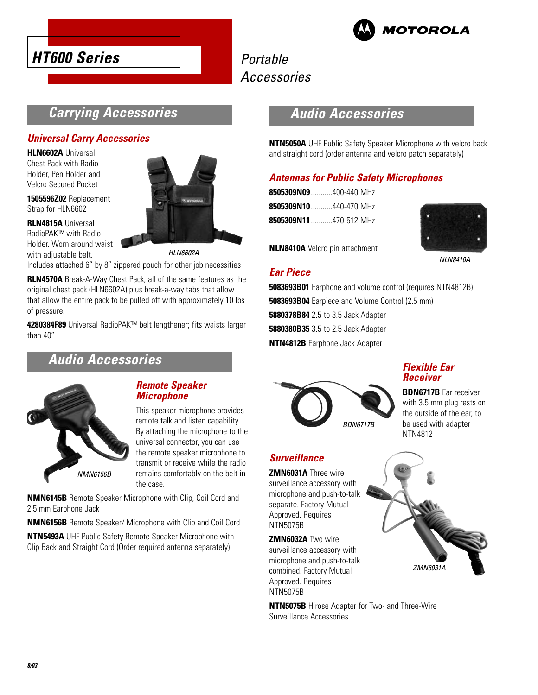



## **Carrying Accessories**

#### **Universal Carry Accessories**

**HLN6602A** Universal Chest Pack with Radio Holder, Pen Holder and Velcro Secured Pocket

**1505596Z02** Replacement Strap for HLN6602

**RLN4815A** Universal RadioPAK™ with Radio Holder. Worn around waist with adjustable belt.

HLN6602A

Includes attached 6" by 8" zippered pouch for other job necessities

**RLN4570A** Break-A-Way Chest Pack; all of the same features as the original chest pack (HLN6602A) plus break-a-way tabs that allow that allow the entire pack to be pulled off with approximately 10 lbs of pressure.

**4280384F89** Universal RadioPAK™ belt lengthener; fits waists larger than 40"

## **Audio Accessories**



#### **Remote Speaker Microphone**

This speaker microphone provides remote talk and listen capability. By attaching the microphone to the universal connector, you can use the remote speaker microphone to transmit or receive while the radio remains comfortably on the belt in the case.

**NMN6145B** Remote Speaker Microphone with Clip, Coil Cord and 2.5 mm Earphone Jack

**NMN6156B** Remote Speaker/ Microphone with Clip and Coil Cord

**NTN5493A** UHF Public Safety Remote Speaker Microphone with Clip Back and Straight Cord (Order required antenna separately)

## **Audio Accessories**

**NTN5050A** UHF Public Safety Speaker Microphone with velcro back and straight cord (order antenna and velcro patch separately)

#### **Antennas for Public Safety Microphones**

**8505309N09**...........400-440 MHz **8505309N10**...........440-470 MHz **8505309N11**...........470-512 MHz



**NLN8410A** Velcro pin attachment

**Ear Piece**

NLN8410A

**5083693B01** Earphone and volume control (requires NTN4812B) **5083693B04** Earpiece and Volume Control (2.5 mm) **5880378B84** 2.5 to 3.5 Jack Adapter **5880380B35** 3.5 to 2.5 Jack Adapter **NTN4812B** Earphone Jack Adapter



#### **Surveillance**

**ZMN6031A** Three wire surveillance accessory with microphone and push-to-talk separate. Factory Mutual Approved. Requires NTN5075B

**ZMN6032A** Two wire surveillance accessory with microphone and push-to-talk combined. Factory Mutual Approved. Requires NTN5075B

**NTN5075B** Hirose Adapter for Two- and Three-Wire Surveillance Accessories.



**BDN6717B** Ear receiver with 3.5 mm plug rests on the outside of the ear, to be used with adapter NTN4812

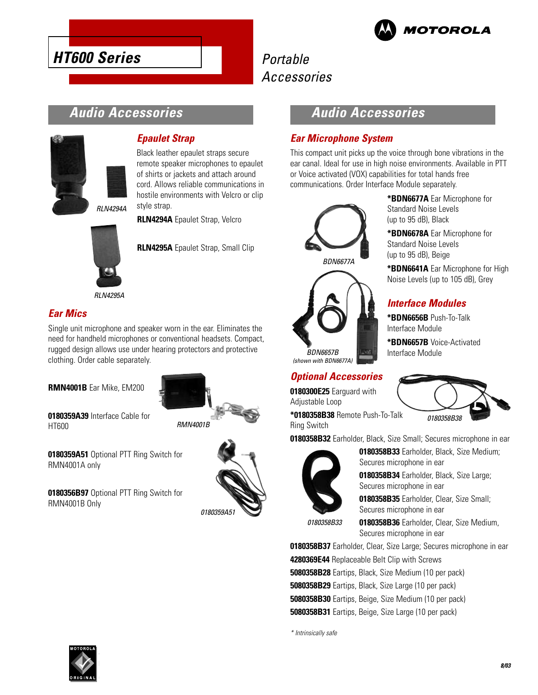

**\*BDN6677A** Ear Microphone for

**\*BDN6678A** Ear Microphone for

**\*BDN6641A** Ear Microphone for High Noise Levels (up to 105 dB), Grey

Standard Noise Levels (up to 95 dB), Black

Standard Noise Levels (up to 95 dB), Beige

**Interface Modules \*BDN6656B** Push-To-Talk

**\*BDN6657B** Voice-Activated

Interface Module

Interface Module

## Portable Accessories

## **Audio Accessories**



**HT600 Series**

#### **Epaulet Strap**

Black leather epaulet straps secure remote speaker microphones to epaulet of shirts or jackets and attach around cord. Allows reliable communications in hostile environments with Velcro or clip style strap.

**RLN4294A** Epaulet Strap, Velcro



**RLN4295A** Epaulet Strap, Small Clip

RLN4295A

#### **Ear Mics**

Single unit microphone and speaker worn in the ear. Eliminates the need for handheld microphones or conventional headsets. Compact, rugged design allows use under hearing protectors and protective clothing. Order cable separately.

**RMN4001B** Ear Mike, EM200



**0180359A39** Interface Cable for HT600

**0180359A51** Optional PTT Ring Switch for RMN4001A only

**0180356B97** Optional PTT Ring Switch for RMN4001B Only



### **Audio Accessories**

#### **Ear Microphone System**

This compact unit picks up the voice through bone vibrations in the ear canal. Ideal for use in high noise environments. Available in PTT or Voice activated (VOX) capabilities for total hands free communications. Order Interface Module separately.



#### **Optional Accessories**

**0180300E25** Earguard with Adjustable Loop

**\*0180358B38** Remote Push-To-Talk Ring Switch

**0180358B32** Earholder, Black, Size Small; Secures microphone in ear



**0180358B33** Earholder, Black, Size Medium; Secures microphone in ear

**0180358B34** Earholder, Black, Size Large; Secures microphone in ear

**0180358B35** Earholder, Clear, Size Small; Secures microphone in ear

0180358B33

**0180358B36** Earholder, Clear, Size Medium, Secures microphone in ear

**0180358B37** Earholder, Clear, Size Large; Secures microphone in ear **4280369E44** Replaceable Belt Clip with Screws **5080358B28** Eartips, Black, Size Medium (10 per pack) **5080358B29** Eartips, Black, Size Large (10 per pack) **5080358B30** Eartips, Beige, Size Medium (10 per pack) **5080358B31** Eartips, Beige, Size Large (10 per pack)

\* Intrinsically safe



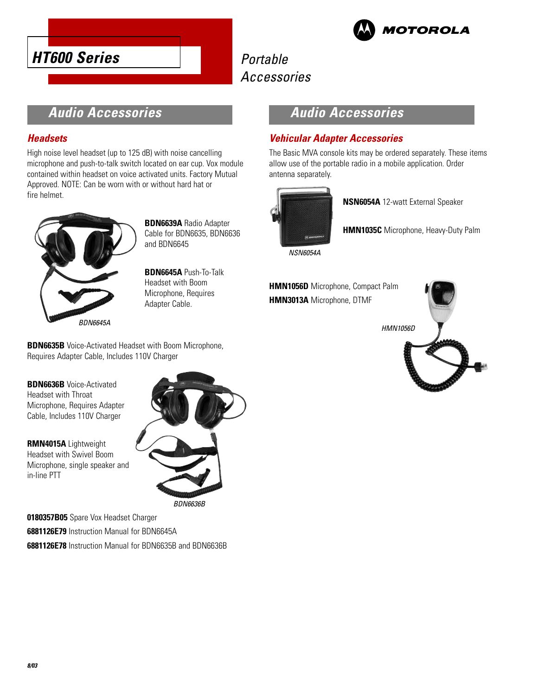



## **Audio Accessories**

#### **Headsets**

High noise level headset (up to 125 dB) with noise cancelling microphone and push-to-talk switch located on ear cup. Vox module contained within headset on voice activated units. Factory Mutual Approved. NOTE: Can be worn with or without hard hat or fire helmet.



**BDN6639A** Radio Adapter Cable for BDN6635, BDN6636 and BDN6645

**BDN6645A** Push-To-Talk Headset with Boom Microphone, Requires Adapter Cable.

**BDN6635B** Voice-Activated Headset with Boom Microphone, Requires Adapter Cable, Includes 110V Charger

#### **BDN6636B** Voice-Activated Headset with Throat Microphone, Requires Adapter Cable, Includes 110V Charger

**RMN4015A** Lightweight Headset with Swivel Boom Microphone, single speaker and in-line PTT



BDN6636B

**0180357B05** Spare Vox Headset Charger **6881126E79** Instruction Manual for BDN6645A **6881126E78** Instruction Manual for BDN6635B and BDN6636B

## **Audio Accessories**

#### **Vehicular Adapter Accessories**

The Basic MVA console kits may be ordered separately. These items allow use of the portable radio in a mobile application. Order antenna separately.



**NSN6054A** 12-watt External Speaker

**HMN1035C** Microphone, Heavy-Duty Palm

NSN6054A

**HMN1056D** Microphone, Compact Palm **HMN3013A** Microphone, DTMF

HMN1056D

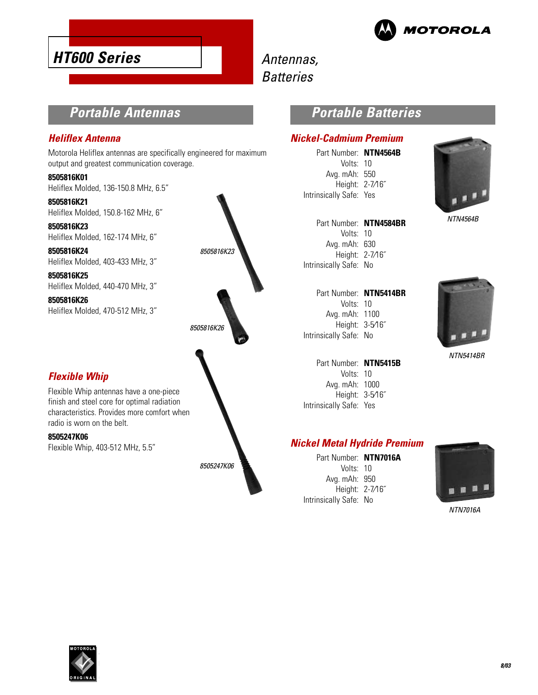



## Antennas, **Batteries**

## **Portable Antennas**

#### **Heliflex Antenna**

Motorola Heliflex antennas are specifically engineered for maximum output and greatest communication coverage.

**8505816K01** Heliflex Molded, 136-150.8 MHz, 6.5"

**8505816K21** Heliflex Molded, 150.8-162 MHz, 6"

**8505816K23** Heliflex Molded, 162-174 MHz, 6"

**8505816K24** Heliflex Molded, 403-433 MHz, 3"

**8505816K25** Heliflex Molded, 440-470 MHz, 3"

**8505816K26** Heliflex Molded, 470-512 MHz, 3"

#### **Flexible Whip**

Flexible Whip antennas have a one-piece finish and steel core for optimal radiation characteristics. Provides more comfort when radio is worn on the belt.

**8505247K06** Flexible Whip, 403-512 MHz, 5.5"



#### **Portable Batteries**

#### **Nickel-Cadmium Premium**

Part Number: **NTN4564B** Volts: 10 Avg. mAh: 550 Height: 2-7⁄16˝ Intrinsically Safe: Yes



NTN4564B

| Part Number: NTN4584BR |  |
|------------------------|--|
| Volts: $10$            |  |
| Avg. mAh: 630          |  |
| Height: 2-7/16"        |  |
| Intrinsically Safe: No |  |
|                        |  |

| Part Number: NTN5414BR |  |
|------------------------|--|
| Volts: 10              |  |
| Avg. mAh: 1100         |  |
| Height: 3-5/16"        |  |
| Intrinsically Safe: No |  |
|                        |  |



### **Nickel Metal Hydride Premium**

Part Number: **NTN7016A** Volts: 10 Avg. mAh: 950 Height: 2-7⁄16˝ Intrinsically Safe: No



NTN5414BR

NTN7016A

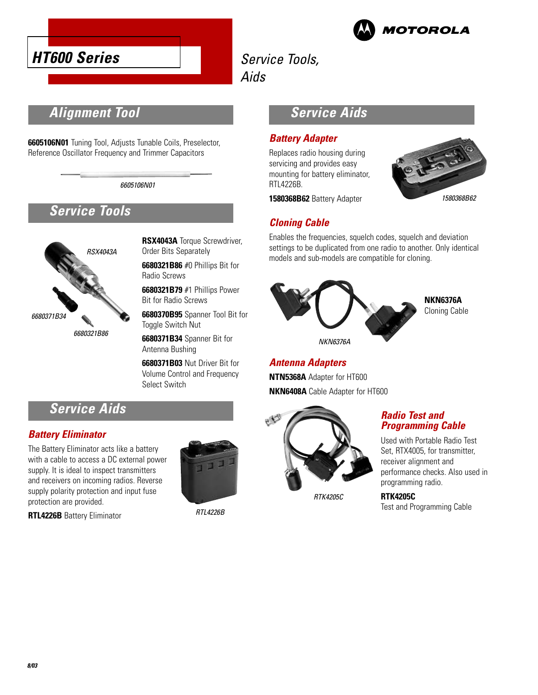



## Service Tools,

Aids

## **Alignment Tool**

**6605106N01** Tuning Tool, Adjusts Tunable Coils, Preselector, Reference Oscillator Frequency and Trimmer Capacitors

6605106N01

## **Service Tools**



**RSX4043A** Torque Screwdriver, Order Bits Separately

**6680321B86** #0 Phillips Bit for Radio Screws

**6680321B79** #1 Phillips Power Bit for Radio Screws

**6680370B95** Spanner Tool Bit for Toggle Switch Nut

**6680371B34** Spanner Bit for Antenna Bushing

**6680371B03** Nut Driver Bit for Volume Control and Frequency Select Switch

## **Service Aids**

#### **Battery Eliminator**

The Battery Eliminator acts like a battery with a cable to access a DC external power supply. It is ideal to inspect transmitters and receivers on incoming radios. Reverse supply polarity protection and input fuse protection are provided.

**RTL4226B** Battery Eliminator



RTL4226B

## **Service Aids**

#### **Battery Adapter**

Replaces radio housing during servicing and provides easy mounting for battery eliminator, RTL4226B.

**1580368B62** Battery Adapter



#### **Cloning Cable**

Enables the frequencies, squelch codes, squelch and deviation settings to be duplicated from one radio to another. Only identical models and sub-models are compatible for cloning.



**Antenna Adapters NTN5368A** Adapter for HT600 **NKN6408A** Cable Adapter for HT600



RTK4205C

#### **Radio Test and Programming Cable**

Used with Portable Radio Test Set, RTX4005, for transmitter, receiver alignment and performance checks. Also used in programming radio.

**RTK4205C** Test and Programming Cable